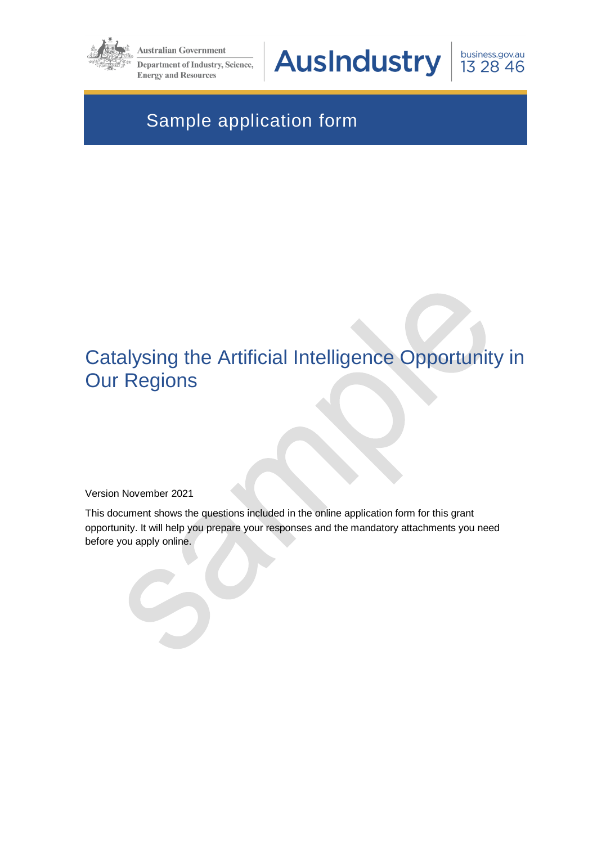

**Australian Government** 

**Department of Industry, Science, Energy and Resources** 

**AusIndustry** 

business.gov.au 13 28 46

# Sample application form

# Catalysing the Artificial Intelligence Opportunity in Our Regions

Version November 2021

This document shows the questions included in the online application form for this grant opportunity. It will help you prepare your responses and the mandatory attachments you need before you apply online.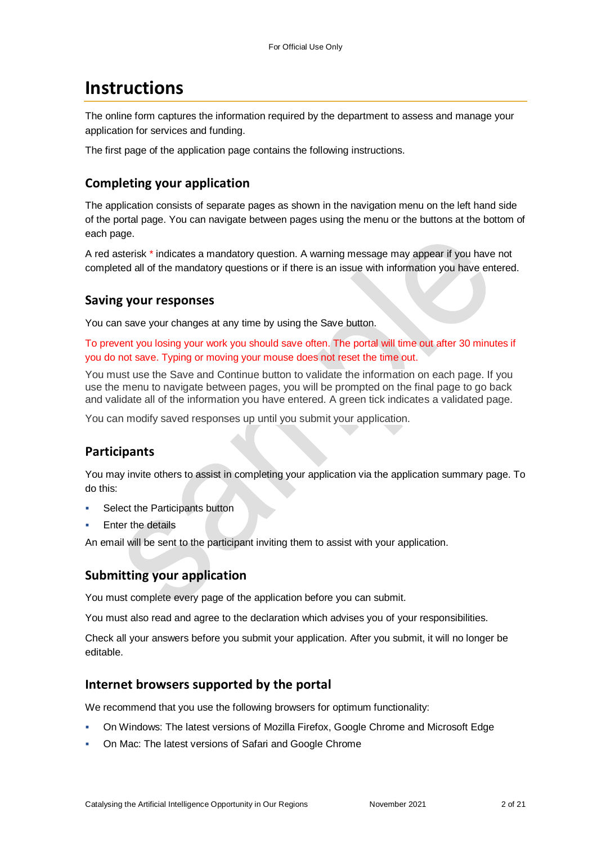## **Instructions**

The online form captures the information required by the department to assess and manage your application for services and funding.

The first page of the application page contains the following instructions.

### **Completing your application**

The application consists of separate pages as shown in the navigation menu on the left hand side of the portal page. You can navigate between pages using the menu or the buttons at the bottom of each page.

A red asterisk \* indicates a mandatory question. A warning message may appear if you have not completed all of the mandatory questions or if there is an issue with information you have entered.

#### **Saving your responses**

You can save your changes at any time by using the Save button.

To prevent you losing your work you should save often. The portal will time out after 30 minutes if you do not save. Typing or moving your mouse does not reset the time out.

You must use the Save and Continue button to validate the information on each page. If you use the menu to navigate between pages, you will be prompted on the final page to go back and validate all of the information you have entered. A green tick indicates a validated page.

You can modify saved responses up until you submit your application.

### **Participants**

You may invite others to assist in completing your application via the application summary page. To do this:

- Select the Participants button
- Enter the details

An email will be sent to the participant inviting them to assist with your application.

#### **Submitting your application**

You must complete every page of the application before you can submit.

You must also read and agree to the declaration which advises you of your responsibilities.

Check all your answers before you submit your application. After you submit, it will no longer be editable.

#### **Internet browsers supported by the portal**

We recommend that you use the following browsers for optimum functionality:

- On Windows: The latest versions of Mozilla Firefox, Google Chrome and Microsoft Edge
- On Mac: The latest versions of Safari and Google Chrome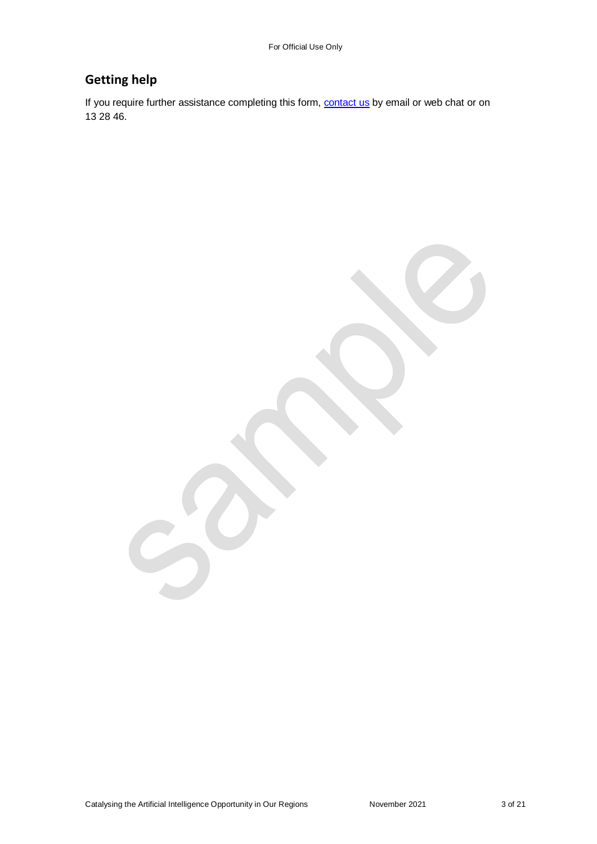### **Getting help**

If you require further assistance completing this form, **contact us** by email or web chat or on 13 28 46.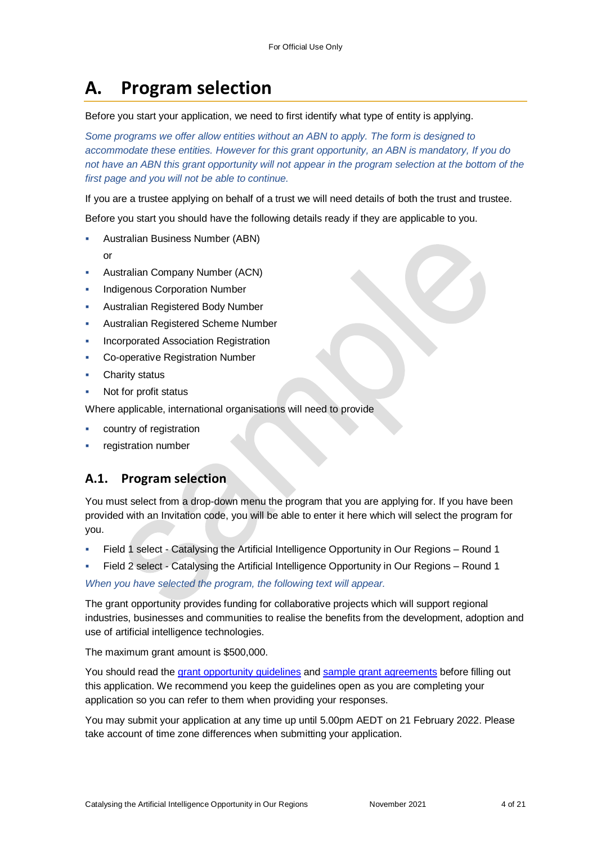# **A. Program selection**

#### Before you start your application, we need to first identify what type of entity is applying.

*Some programs we offer allow entities without an ABN to apply. The form is designed to accommodate these entities. However for this grant opportunity, an ABN is mandatory, If you do*  not have an ABN this grant opportunity will not appear in the program selection at the bottom of the *first page and you will not be able to continue.*

If you are a trustee applying on behalf of a trust we will need details of both the trust and trustee.

Before you start you should have the following details ready if they are applicable to you.

- Australian Business Number (ABN)
	- or
- Australian Company Number (ACN)
- Indigenous Corporation Number
- Australian Registered Body Number
- Australian Registered Scheme Number
- Incorporated Association Registration
- Co-operative Registration Number
- Charity status
- Not for profit status

Where applicable, international organisations will need to provide

- country of registration
- registration number

### **A.1. Program selection**

You must select from a drop-down menu the program that you are applying for. If you have been provided with an Invitation code, you will be able to enter it here which will select the program for you.

- Field 1 select Catalysing the Artificial Intelligence Opportunity in Our Regions Round 1
- Field 2 select Catalysing the Artificial Intelligence Opportunity in Our Regions Round 1

*When you have selected the program, the following text will appear.*

The grant opportunity provides funding for collaborative projects which will support regional industries, businesses and communities to realise the benefits from the development, adoption and use of artificial intelligence technologies.

The maximum grant amount is \$500,000.

You should read the [grant opportunity guidelines](https://business.gov.au/grants-and-programs/catalysing-the-artificial-intelligence-opportunity-in-our-regions-round-1#key-documents) and [sample grant agreements](https://business.gov.au/grants-and-programs/catalysing-the-artificial-intelligence-opportunity-in-our-regions-round-1#key-documents) before filling out this application. We recommend you keep the guidelines open as you are completing your application so you can refer to them when providing your responses.

You may submit your application at any time up until 5.00pm AEDT on 21 February 2022. Please take account of time zone differences when submitting your application.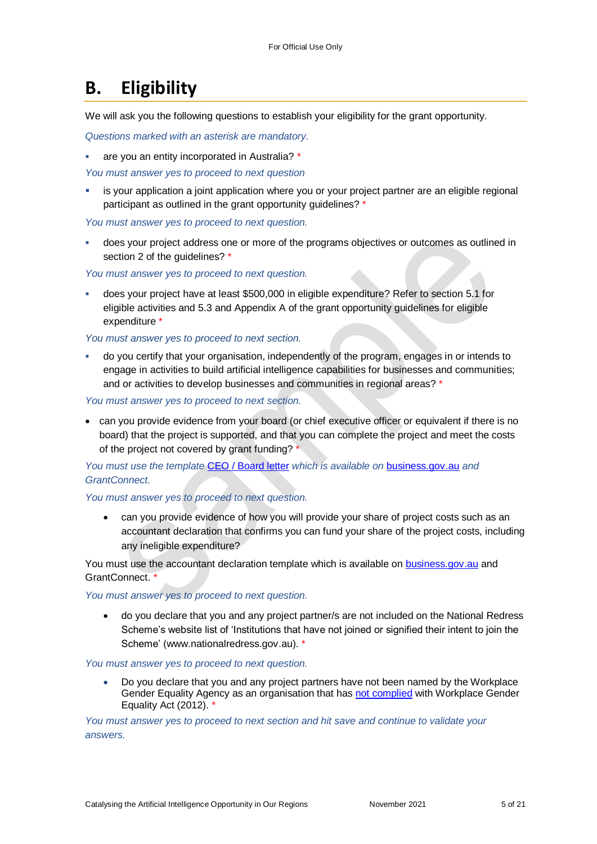## **B. Eligibility**

We will ask you the following questions to establish your eligibility for the grant opportunity.

*Questions marked with an asterisk are mandatory.* 

are you an entity incorporated in Australia? \*

*You must answer yes to proceed to next question*

 is your application a joint application where you or your project partner are an eligible regional participant as outlined in the grant opportunity guidelines? \*

*You must answer yes to proceed to next question.*

 does your project address one or more of the programs objectives or outcomes as outlined in section 2 of the quidelines? \*

*You must answer yes to proceed to next question.*

 does your project have at least \$500,000 in eligible expenditure? Refer to section 5.1 for eligible activities and 5.3 and Appendix A of the grant opportunity guidelines for eligible expenditure \*

*You must answer yes to proceed to next section.*

 do you certify that your organisation, independently of the program, engages in or intends to engage in activities to build artificial intelligence capabilities for businesses and communities; and or activities to develop businesses and communities in regional areas? \*

*You must answer yes to proceed to next section.*

 can you provide evidence from your board (or chief executive officer or equivalent if there is no board) that the project is supported, and that you can complete the project and meet the costs of the project not covered by grant funding? \*

*You must use the template* [CEO / Board letter](https://business.gov.au/grants-and-programs/catalysing-the-artificial-intelligence-opportunity-in-our-regions-round-1#key-documents) *which is available on* [business.gov.au](https://business.gov.au/grants-and-programs/catalysing-the-artificial-intelligence-opportunity-in-our-regions-round-1#key-documents) *and [GrantConnect.](http://www.grants.gov.au/)*

#### *You must answer yes to proceed to next question.*

 can you provide evidence of how you will provide your share of project costs such as an accountant declaration that confirms you can fund your share of the project costs, including any ineligible expenditure?

You must use the accountant declaration template which is available on [business.gov.au](https://business.gov.au/grants-and-programs/catalysing-the-artificial-intelligence-opportunity-in-our-regions-round-1#key-documents) and GrantConnect<sup>3</sup>

#### *You must answer yes to proceed to next question.*

 do you declare that you and any project partner/s are not included on the National Redress Scheme's website list of 'Institutions that have not joined or signified their intent to join the Scheme' [\(www.nationalredress.gov.au\)](http://www.nationalredress.gov.au/). \*

#### *You must answer yes to proceed to next question.*

 Do you declare that you and any project partners have not been named by the Workplace Gender Equality Agency as an organisation that has [not complied](https://www.wgea.gov.au/what-we-do/compliance-reporting/non-compliant-list) with Workplace Gender Equality Act (2012). \*

*You must answer yes to proceed to next section and hit save and continue to validate your answers.*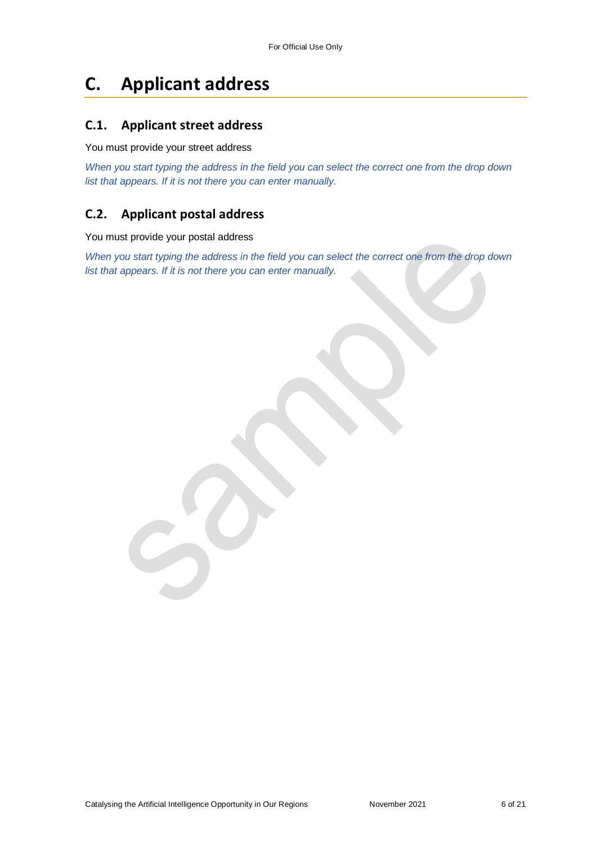## **C. Applicant address**

#### **C.1. Applicant street address**

#### You must provide your street address

*When you start typing the address in the field you can select the correct one from the drop down list that appears. If it is not there you can enter manually.*

#### **C.2. Applicant postal address**

#### You must provide your postal address

*When you start typing the address in the field you can select the correct one from the drop down list that appears. If it is not there you can enter manually.*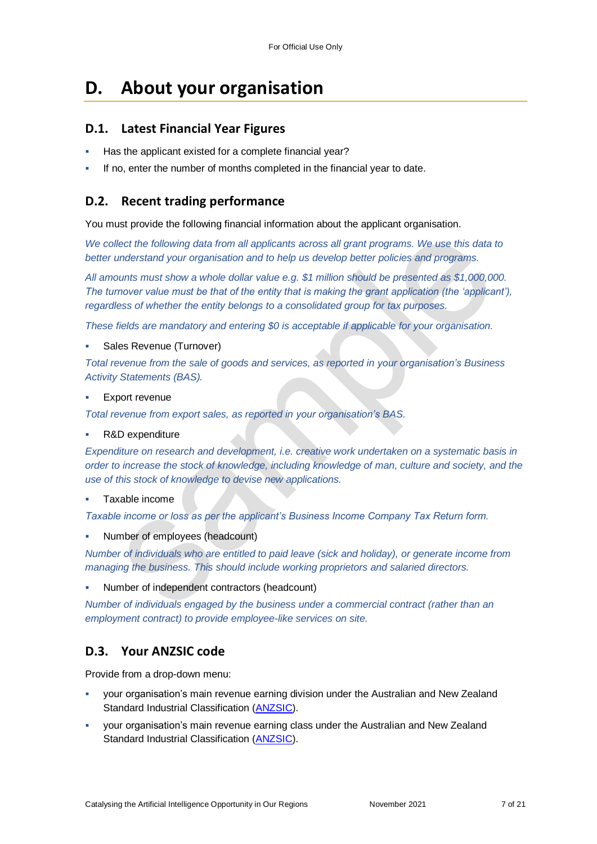## **D. About your organisation**

#### **D.1. Latest Financial Year Figures**

- Has the applicant existed for a complete financial year?
- If no, enter the number of months completed in the financial year to date.

### **D.2. Recent trading performance**

You must provide the following financial information about the applicant organisation.

*We collect the following data from all applicants across all grant programs. We use this data to better understand your organisation and to help us develop better policies and programs.*

*All amounts must show a whole dollar value e.g. \$1 million should be presented as \$1,000,000. The turnover value must be that of the entity that is making the grant application (the 'applicant'), regardless of whether the entity belongs to a consolidated group for tax purposes.*

*These fields are mandatory and entering \$0 is acceptable if applicable for your organisation.*

Sales Revenue (Turnover)

*Total revenue from the sale of goods and services, as reported in your organisation's Business Activity Statements (BAS).*

Export revenue

*Total revenue from export sales, as reported in your organisation's BAS.*

R&D expenditure

*Expenditure on research and development, i.e. creative work undertaken on a systematic basis in order to increase the stock of knowledge, including knowledge of man, culture and society, and the use of this stock of knowledge to devise new applications.*

#### Taxable income

*Taxable income or loss as per the applicant's Business Income Company Tax Return form.*

Number of employees (headcount)

*Number of individuals who are entitled to paid leave (sick and holiday), or generate income from managing the business. This should include working proprietors and salaried directors.*

Number of independent contractors (headcount)

*Number of individuals engaged by the business under a commercial contract (rather than an employment contract) to provide employee-like services on site.*

### **D.3. Your ANZSIC code**

Provide from a drop-down menu:

- your organisation's main revenue earning division under the Australian and New Zealand Standard Industrial Classification [\(ANZSIC\)](https://www.abs.gov.au/ausstats/abs@.nsf/0/20C5B5A4F46DF95BCA25711F00146D75?opendocument).
- your organisation's main revenue earning class under the Australian and New Zealand Standard Industrial Classification [\(ANZSIC\)](https://www.abs.gov.au/ausstats/abs@.nsf/0/20C5B5A4F46DF95BCA25711F00146D75?opendocument).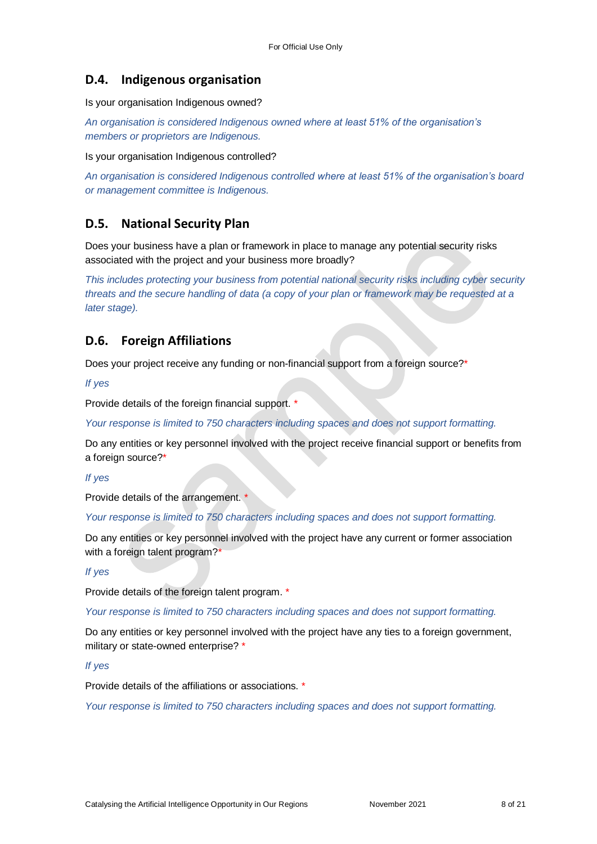#### **D.4. Indigenous organisation**

Is your organisation Indigenous owned?

*An organisation is considered Indigenous owned where at least 51% of the organisation's members or proprietors are Indigenous.*

Is your organisation Indigenous controlled?

*An organisation is considered Indigenous controlled where at least 51% of the organisation's board or management committee is Indigenous.*

### **D.5. National Security Plan**

Does your business have a plan or framework in place to manage any potential security risks associated with the project and your business more broadly?

*This includes protecting your business from potential national security risks including cyber security threats and the secure handling of data (a copy of your plan or framework may be requested at a later stage).*

### **D.6. Foreign Affiliations**

Does your project receive any funding or non-financial support from a foreign source?\*

*If yes*

Provide details of the foreign financial support. \*

*Your response is limited to 750 characters including spaces and does not support formatting.*

Do any entities or key personnel involved with the project receive financial support or benefits from a foreign source?\*

*If yes*

Provide details of the arrangement. \*

*Your response is limited to 750 characters including spaces and does not support formatting.*

Do any entities or key personnel involved with the project have any current or former association with a foreign talent program?\*

*If yes*

Provide details of the foreign talent program. \*

*Your response is limited to 750 characters including spaces and does not support formatting.*

Do any entities or key personnel involved with the project have any ties to a foreign government, military or state-owned enterprise? \*

*If yes*

Provide details of the affiliations or associations. \*

*Your response is limited to 750 characters including spaces and does not support formatting.*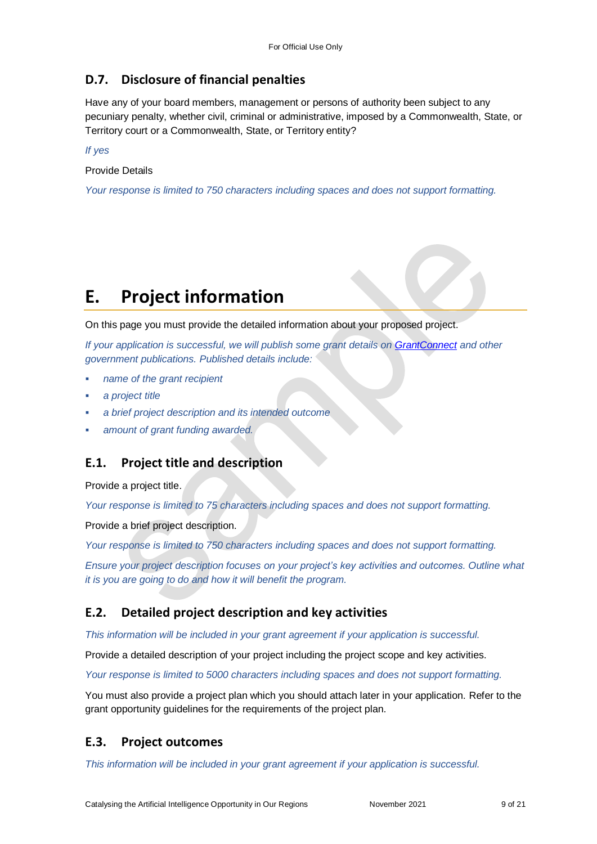### **D.7. Disclosure of financial penalties**

Have any of your board members, management or persons of authority been subject to any pecuniary penalty, whether civil, criminal or administrative, imposed by a Commonwealth, State, or Territory court or a Commonwealth, State, or Territory entity?

*If yes*

Provide Details

*Your response is limited to 750 characters including spaces and does not support formatting.*

# **E. Project information**

On this page you must provide the detailed information about your proposed project.

*If your application is successful, we will publish some grant details on [GrantConnect](http://www.grants.gov.au/) and other government publications. Published details include:*

- *name of the grant recipient*
- *a project title*
- *a brief project description and its intended outcome*
- *amount of grant funding awarded.*

### **E.1. Project title and description**

Provide a project title.

*Your response is limited to 75 characters including spaces and does not support formatting.* 

Provide a brief project description.

*Your response is limited to 750 characters including spaces and does not support formatting.* 

*Ensure your project description focuses on your project's key activities and outcomes. Outline what it is you are going to do and how it will benefit the program.*

### **E.2. Detailed project description and key activities**

*This information will be included in your grant agreement if your application is successful.*

Provide a detailed description of your project including the project scope and key activities.

*Your response is limited to 5000 characters including spaces and does not support formatting.* 

You must also provide a project plan which you should attach later in your application. Refer to the grant opportunity guidelines for the requirements of the project plan.

#### **E.3. Project outcomes**

*This information will be included in your grant agreement if your application is successful.*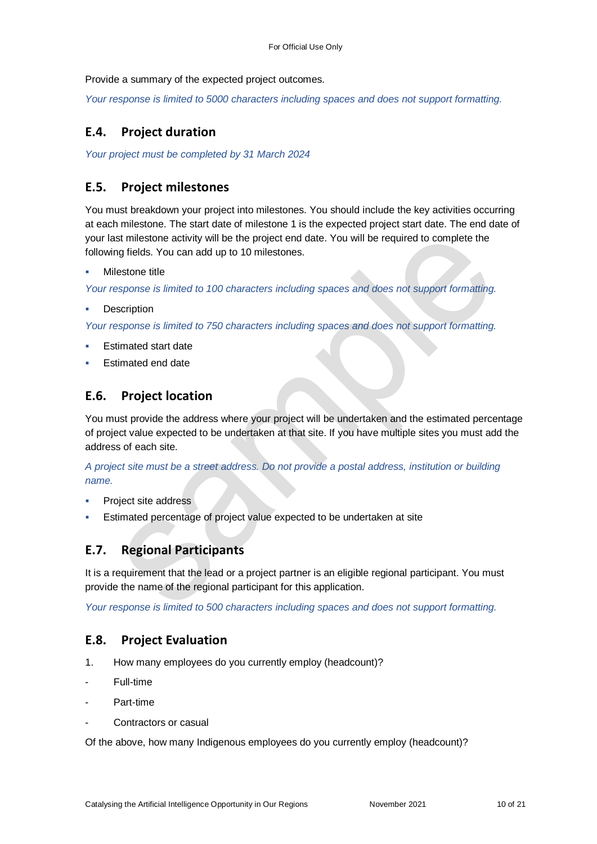Provide a summary of the expected project outcomes.

*Your response is limited to 5000 characters including spaces and does not support formatting.*

### **E.4. Project duration**

*Your project must be completed by 31 March 2024*

#### **E.5. Project milestones**

You must breakdown your project into milestones. You should include the key activities occurring at each milestone. The start date of milestone 1 is the expected project start date. The end date of your last milestone activity will be the project end date. You will be required to complete the following fields. You can add up to 10 milestones.

Milestone title

*Your response is limited to 100 characters including spaces and does not support formatting.*

**Description** 

*Your response is limited to 750 characters including spaces and does not support formatting.*

- Estimated start date
- Estimated end date

### **E.6. Project location**

You must provide the address where your project will be undertaken and the estimated percentage of project value expected to be undertaken at that site. If you have multiple sites you must add the address of each site.

*A project site must be a street address. Do not provide a postal address, institution or building name.* 

- Project site address
- Estimated percentage of project value expected to be undertaken at site

### **E.7. Regional Participants**

It is a requirement that the lead or a project partner is an eligible regional participant. You must provide the name of the regional participant for this application.

*Your response is limited to 500 characters including spaces and does not support formatting.* 

### **E.8. Project Evaluation**

- 1. How many employees do you currently employ (headcount)?
- Full-time
- Part-time
- Contractors or casual

Of the above, how many Indigenous employees do you currently employ (headcount)?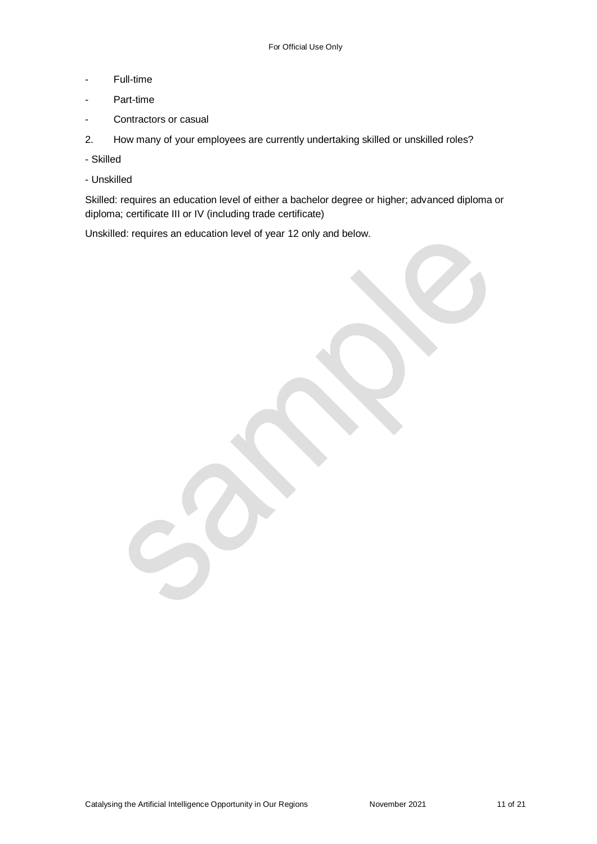- Full-time
- Part-time
- Contractors or casual
- 2. How many of your employees are currently undertaking skilled or unskilled roles?
- Skilled
- Unskilled

Skilled: requires an education level of either a bachelor degree or higher; advanced diploma or diploma; certificate III or IV (including trade certificate)

Unskilled: requires an education level of year 12 only and below.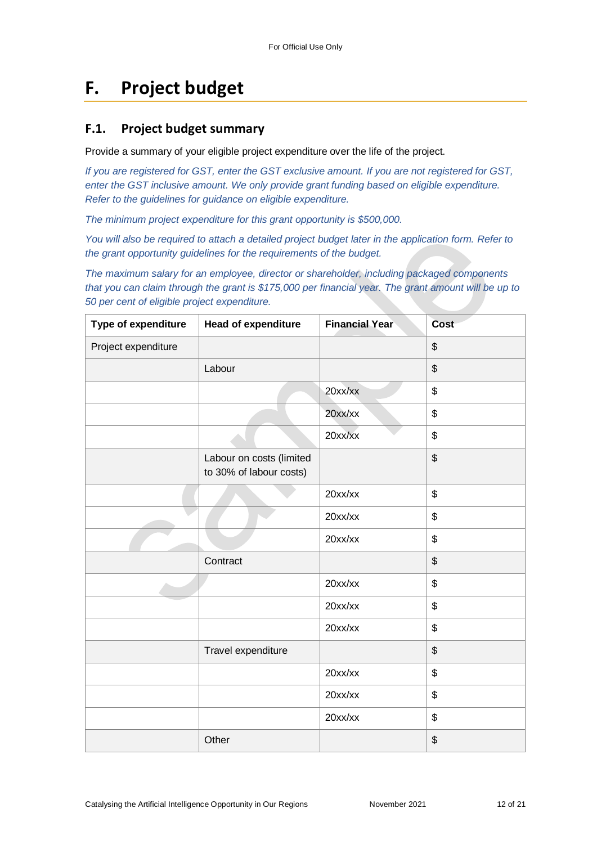## **F. Project budget**

#### **F.1. Project budget summary**

Provide a summary of your eligible project expenditure over the life of the project.

*If you are registered for GST, enter the GST exclusive amount. If you are not registered for GST, enter the GST inclusive amount. We only provide grant funding based on eligible expenditure. Refer to the guidelines for guidance on eligible expenditure.*

*The minimum project expenditure for this grant opportunity is \$500,000.*

*You will also be required to attach a detailed project budget later in the application form. Refer to the grant opportunity guidelines for the requirements of the budget.*

*The maximum salary for an employee, director or shareholder, including packaged components that you can claim through the grant is \$175,000 per financial year. The grant amount will be up to 50 per cent of eligible project expenditure.*

| Type of expenditure | <b>Head of expenditure</b>                          | <b>Financial Year</b> | <b>Cost</b> |
|---------------------|-----------------------------------------------------|-----------------------|-------------|
| Project expenditure |                                                     |                       | \$          |
|                     | Labour                                              |                       | \$          |
|                     |                                                     | 20xx/xx               | \$          |
|                     |                                                     | $20$ xx/xx            | \$          |
|                     |                                                     | $20$ xx/xx            | \$          |
|                     | Labour on costs (limited<br>to 30% of labour costs) |                       | \$          |
|                     |                                                     | 20xx/xx               | \$          |
|                     |                                                     | 20xx/xx               | \$          |
|                     |                                                     | 20xx/xx               | \$          |
|                     | Contract                                            |                       | \$          |
|                     |                                                     | 20xx/xx               | \$          |
|                     |                                                     | 20xx/xx               | \$          |
|                     |                                                     | 20xx/xx               | \$          |
|                     | Travel expenditure                                  |                       | \$          |
|                     |                                                     | 20xx/xx               | \$          |
|                     |                                                     | 20xx/xx               | \$          |
|                     |                                                     | 20xx/xx               | \$          |
|                     | Other                                               |                       | \$          |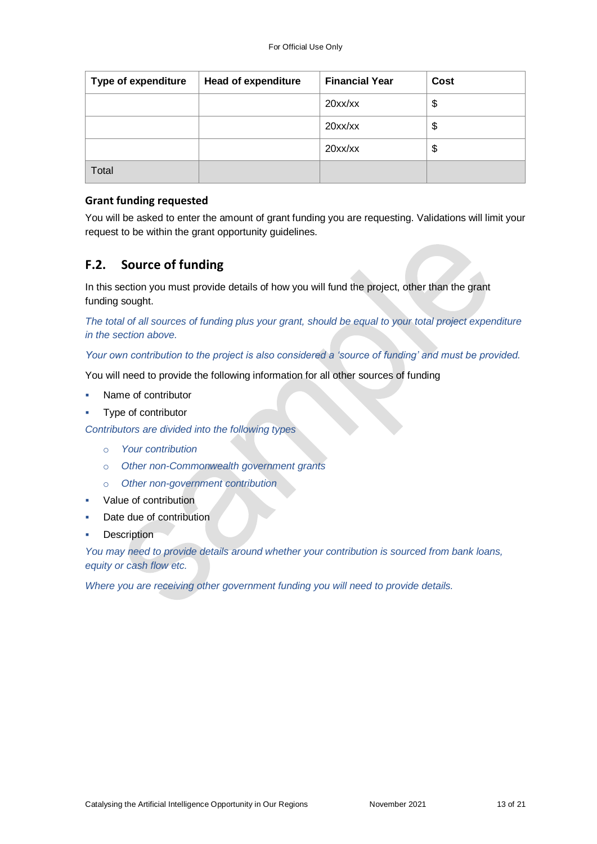| <b>Type of expenditure</b> | <b>Head of expenditure</b> | <b>Financial Year</b> | Cost |
|----------------------------|----------------------------|-----------------------|------|
|                            |                            | 20xx/xx               | \$   |
|                            |                            | 20xx/xx               | \$   |
|                            |                            | 20xx/xx               | \$   |
| Total                      |                            |                       |      |

#### **Grant funding requested**

You will be asked to enter the amount of grant funding you are requesting. Validations will limit your request to be within the grant opportunity guidelines.

### **F.2. Source of funding**

In this section you must provide details of how you will fund the project, other than the grant funding sought.

*The total of all sources of funding plus your grant, should be equal to your total project expenditure in the section above.*

*Your own contribution to the project is also considered a 'source of funding' and must be provided.*

You will need to provide the following information for all other sources of funding

- Name of contributor
- Type of contributor

*Contributors are divided into the following types*

- o *Your contribution*
- o *Other non-Commonwealth government grants*
- o *Other non-government contribution*
- Value of contribution
- Date due of contribution
- **Description**

*You may need to provide details around whether your contribution is sourced from bank loans, equity or cash flow etc.* 

*Where you are receiving other government funding you will need to provide details.*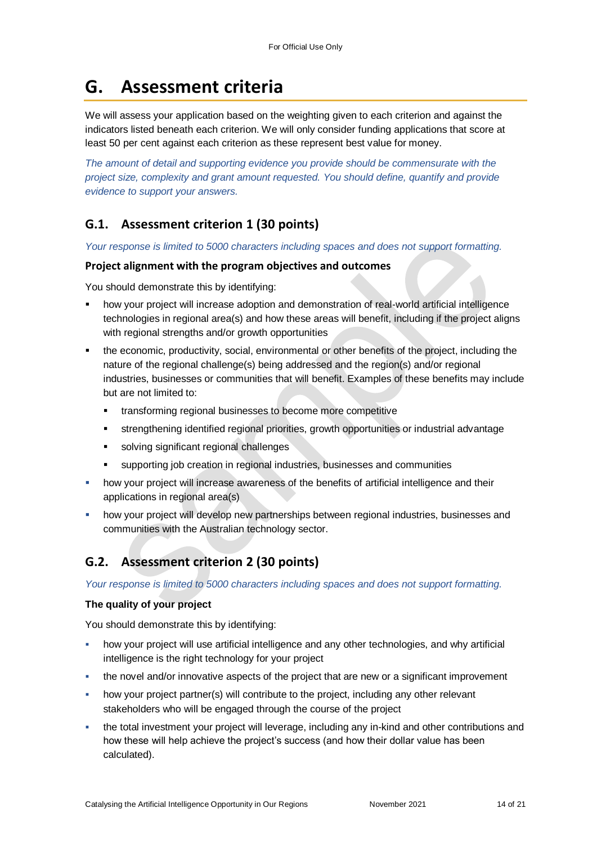## **G. Assessment criteria**

We will assess your application based on the weighting given to each criterion and against the indicators listed beneath each criterion. We will only consider funding applications that score at least 50 per cent against each criterion as these represent best value for money.

*The amount of detail and supporting evidence you provide should be commensurate with the project size, complexity and grant amount requested. You should define, quantify and provide evidence to support your answers.*

### **G.1. Assessment criterion 1 (30 points)**

*Your response is limited to 5000 characters including spaces and does not support formatting.* 

#### **Project alignment with the program objectives and outcomes**

You should demonstrate this by identifying:

- how your project will increase adoption and demonstration of real-world artificial intelligence technologies in regional area(s) and how these areas will benefit, including if the project aligns with regional strengths and/or growth opportunities
- the economic, productivity, social, environmental or other benefits of the project, including the nature of the regional challenge(s) being addressed and the region(s) and/or regional industries, businesses or communities that will benefit. Examples of these benefits may include but are not limited to:
	- **\*** transforming regional businesses to become more competitive
	- strengthening identified regional priorities, growth opportunities or industrial advantage
	- **solving significant regional challenges**
	- supporting job creation in regional industries, businesses and communities
- how your project will increase awareness of the benefits of artificial intelligence and their applications in regional area(s)
- how your project will develop new partnerships between regional industries, businesses and communities with the Australian technology sector.

## **G.2. Assessment criterion 2 (30 points)**

*Your response is limited to 5000 characters including spaces and does not support formatting.* 

#### **The quality of your project**

You should demonstrate this by identifying:

- how your project will use artificial intelligence and any other technologies, and why artificial intelligence is the right technology for your project
- the novel and/or innovative aspects of the project that are new or a significant improvement
- how your project partner(s) will contribute to the project, including any other relevant stakeholders who will be engaged through the course of the project
- the total investment your project will leverage, including any in-kind and other contributions and how these will help achieve the project's success (and how their dollar value has been calculated).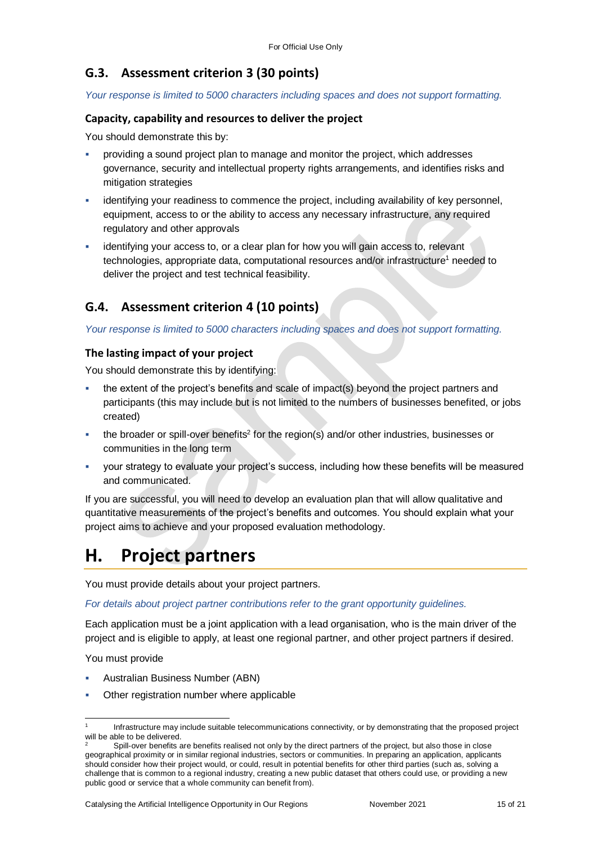### **G.3. Assessment criterion 3 (30 points)**

*Your response is limited to 5000 characters including spaces and does not support formatting.* 

#### **Capacity, capability and resources to deliver the project**

You should demonstrate this by:

- providing a sound project plan to manage and monitor the project, which addresses governance, security and intellectual property rights arrangements, and identifies risks and mitigation strategies
- identifying your readiness to commence the project, including availability of key personnel, equipment, access to or the ability to access any necessary infrastructure, any required regulatory and other approvals
- identifying your access to, or a clear plan for how you will gain access to, relevant technologies, appropriate data, computational resources and/or infrastructure<sup>1</sup> needed to deliver the project and test technical feasibility.

### **G.4. Assessment criterion 4 (10 points)**

*Your response is limited to 5000 characters including spaces and does not support formatting.* 

#### **The lasting impact of your project**

You should demonstrate this by identifying:

- the extent of the project's benefits and scale of impact(s) beyond the project partners and participants (this may include but is not limited to the numbers of businesses benefited, or jobs created)
- the broader or spill-over benefits<sup>2</sup> for the region(s) and/or other industries, businesses or communities in the long term
- your strategy to evaluate your project's success, including how these benefits will be measured and communicated.

If you are successful, you will need to develop an evaluation plan that will allow qualitative and quantitative measurements of the project's benefits and outcomes. You should explain what your project aims to achieve and your proposed evaluation methodology.

## **H. Project partners**

You must provide details about your project partners.

*For details about project partner contributions refer to the grant opportunity guidelines.*

Each application must be a joint application with a lead organisation, who is the main driver of the project and is eligible to apply, at least one regional partner, and other project partners if desired.

You must provide

l

- Australian Business Number (ABN)
- Other registration number where applicable

<sup>1</sup> Infrastructure may include suitable telecommunications connectivity, or by demonstrating that the proposed project will be able to be delivered.

Spill-over benefits are benefits realised not only by the direct partners of the project, but also those in close geographical proximity or in similar regional industries, sectors or communities. In preparing an application, applicants should consider how their project would, or could, result in potential benefits for other third parties (such as, solving a challenge that is common to a regional industry, creating a new public dataset that others could use, or providing a new public good or service that a whole community can benefit from).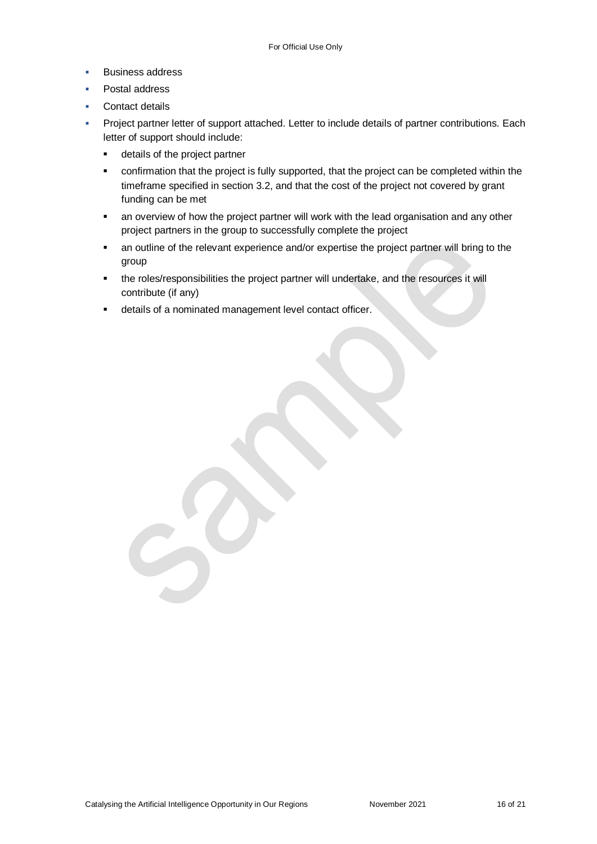- **Business address**
- Postal address
- Contact details
- Project partner letter of support attached. Letter to include details of partner contributions. Each letter of support should include:
	- **details of the project partner**
	- confirmation that the project is fully supported, that the project can be completed within the timeframe specified in section 3.2, and that the cost of the project not covered by grant funding can be met
	- an overview of how the project partner will work with the lead organisation and any other project partners in the group to successfully complete the project
	- an outline of the relevant experience and/or expertise the project partner will bring to the group
	- the roles/responsibilities the project partner will undertake, and the resources it will contribute (if any)
	- details of a nominated management level contact officer.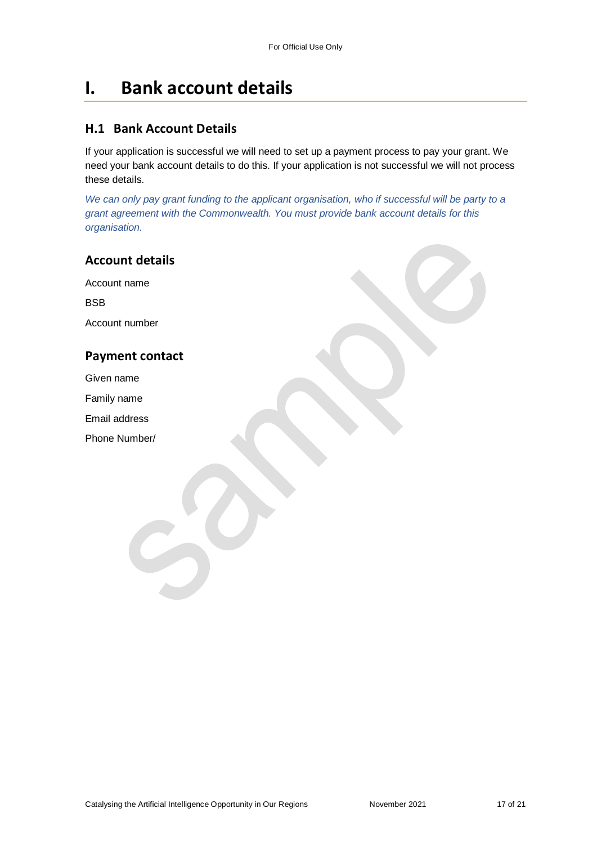## **I. Bank account details**

#### **H.1 Bank Account Details**

If your application is successful we will need to set up a payment process to pay your grant. We need your bank account details to do this. If your application is not successful we will not process these details.

*We can only pay grant funding to the applicant organisation, who if successful will be party to a grant agreement with the Commonwealth. You must provide bank account details for this organisation.*

#### **Account details**

Account name

**BSB** 

Account number

### **Payment contact**

Given name

Family name

Email address

Phone Number/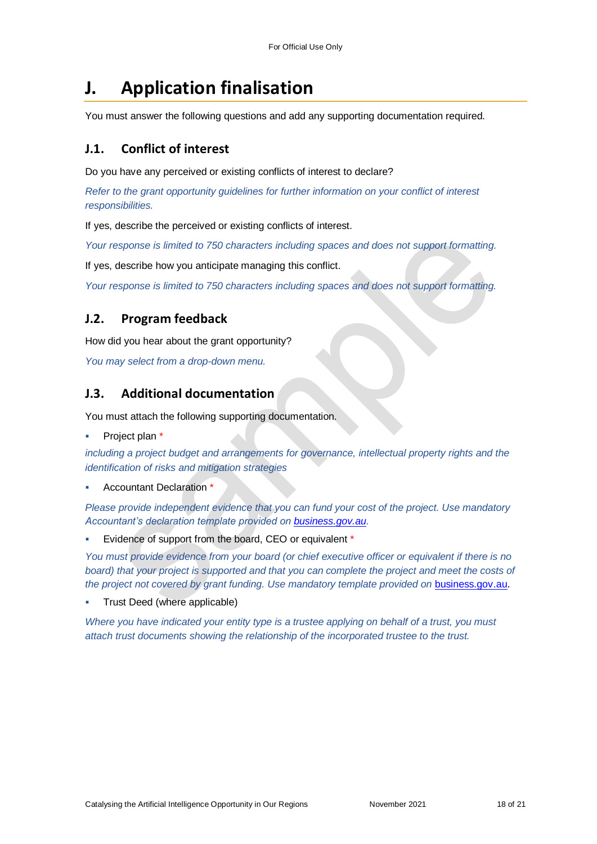## **J. Application finalisation**

You must answer the following questions and add any supporting documentation required.

#### **J.1. Conflict of interest**

Do you have any perceived or existing conflicts of interest to declare?

*Refer to the grant opportunity guidelines for further information on your conflict of interest responsibilities.*

If yes, describe the perceived or existing conflicts of interest.

*Your response is limited to 750 characters including spaces and does not support formatting.*

If yes, describe how you anticipate managing this conflict.

*Your response is limited to 750 characters including spaces and does not support formatting.*

#### **J.2. Program feedback**

How did you hear about the grant opportunity?

*You may select from a drop-down menu.*

#### **J.3. Additional documentation**

You must attach the following supporting documentation.

Project plan \*

*including a project budget and arrangements for governance, intellectual property rights and the identification of risks and mitigation strategies*

Accountant Declaration \*

*Please provide independent evidence that you can fund your cost of the project. Use mandatory Accountant's declaration template provided on business.gov.au.*

Evidence of support from the board, CEO or equivalent \*

*You must provide evidence from your board (or chief executive officer or equivalent if there is no*  board) that your project is supported and that you can complete the project and meet the costs of the project not covered by grant funding. Use mandatory template provided on **business.gov.au.** 

Trust Deed (where applicable)

*Where you have indicated your entity type is a trustee applying on behalf of a trust, you must attach trust documents showing the relationship of the incorporated trustee to the trust.*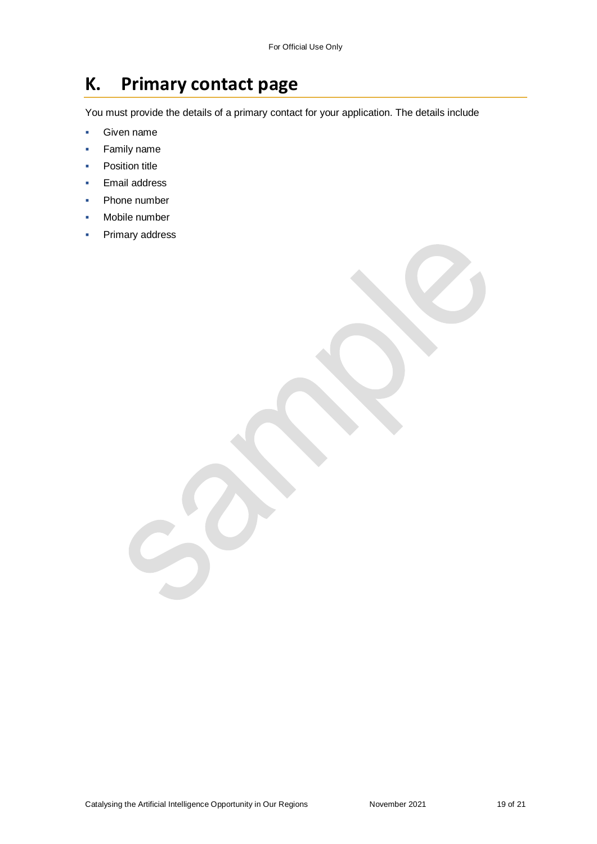## **K. Primary contact page**

You must provide the details of a primary contact for your application. The details include

- **Given name**
- Family name
- **•** Position title
- Email address
- Phone number
- Mobile number
- Primary address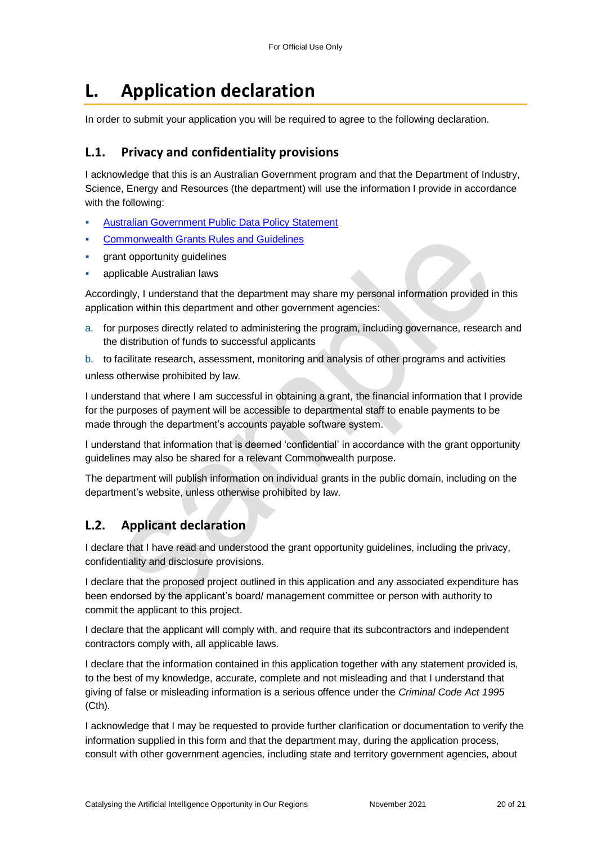## **L. Application declaration**

In order to submit your application you will be required to agree to the following declaration.

### **L.1. Privacy and confidentiality provisions**

I acknowledge that this is an Australian Government program and that the Department of Industry, Science, Energy and Resources (the department) will use the information I provide in accordance with the following:

- [Australian Government Public Data Policy Statement](https://www.pmc.gov.au/sites/default/files/publications/aust_govt_public_data_policy_statement_1.pdf)
- [Commonwealth Grants Rules and Guidelines](https://www.finance.gov.au/government/commonwealth-grants/commonwealth-grants-rules-guidelines)
- grant opportunity guidelines
- applicable Australian laws

Accordingly, I understand that the department may share my personal information provided in this application within this department and other government agencies:

a. for purposes directly related to administering the program, including governance, research and the distribution of funds to successful applicants

b. to facilitate research, assessment, monitoring and analysis of other programs and activities unless otherwise prohibited by law.

I understand that where I am successful in obtaining a grant, the financial information that I provide for the purposes of payment will be accessible to departmental staff to enable payments to be made through the department's accounts payable software system.

I understand that information that is deemed 'confidential' in accordance with the grant opportunity guidelines may also be shared for a relevant Commonwealth purpose.

The department will publish information on individual grants in the public domain, including on the department's website, unless otherwise prohibited by law.

### **L.2. Applicant declaration**

I declare that I have read and understood the grant opportunity guidelines, including the privacy, confidentiality and disclosure provisions.

I declare that the proposed project outlined in this application and any associated expenditure has been endorsed by the applicant's board/ management committee or person with authority to commit the applicant to this project.

I declare that the applicant will comply with, and require that its subcontractors and independent contractors comply with, all applicable laws.

I declare that the information contained in this application together with any statement provided is, to the best of my knowledge, accurate, complete and not misleading and that I understand that giving of false or misleading information is a serious offence under the *Criminal Code Act 1995*  (Cth)*.*

I acknowledge that I may be requested to provide further clarification or documentation to verify the information supplied in this form and that the department may, during the application process, consult with other government agencies, including state and territory government agencies, about